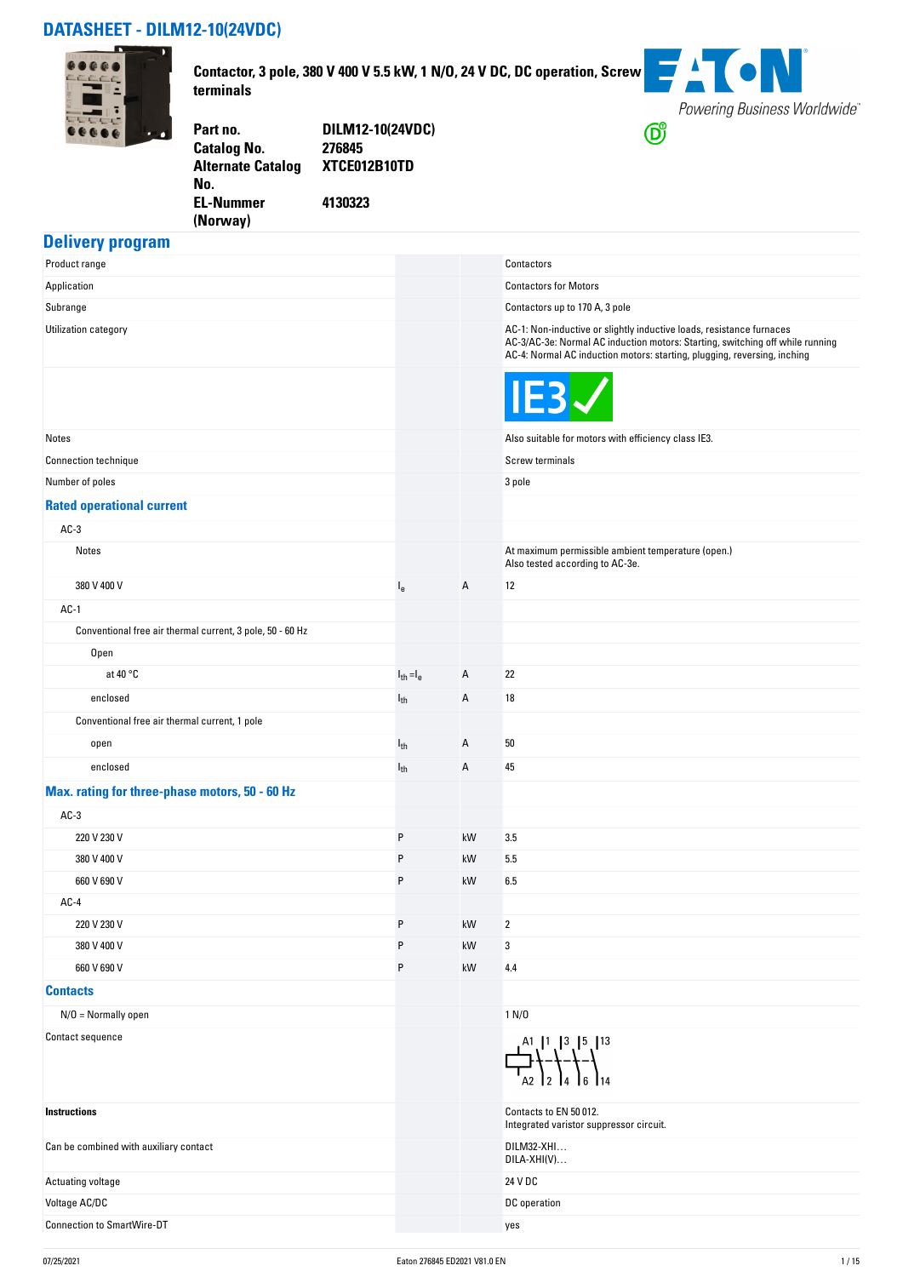### **DATASHEET - DILM12-10(24VDC)**



**Contactor, 3 pole, 380 V 400 V 5.5 kW, 1 N/O, 24 V DC, DC operation, Screw terminals**



**Part no. DILM12-10(24VDC) Catalog No. Alternate Catalog No. XTCE012B10TD EL-Nummer (Norway) 4130323**

#### **Delivery program**

| Product range                                             |                |    | Contactors                                                                                                                                                                                                                        |
|-----------------------------------------------------------|----------------|----|-----------------------------------------------------------------------------------------------------------------------------------------------------------------------------------------------------------------------------------|
| Application                                               |                |    | <b>Contactors for Motors</b>                                                                                                                                                                                                      |
| Subrange                                                  |                |    | Contactors up to 170 A, 3 pole                                                                                                                                                                                                    |
| Utilization category                                      |                |    | AC-1: Non-inductive or slightly inductive loads, resistance furnaces<br>AC-3/AC-3e: Normal AC induction motors: Starting, switching off while running<br>AC-4: Normal AC induction motors: starting, plugging, reversing, inching |
|                                                           |                |    | IE3                                                                                                                                                                                                                               |
| Notes                                                     |                |    | Also suitable for motors with efficiency class IE3.                                                                                                                                                                               |
| <b>Connection technique</b>                               |                |    | Screw terminals                                                                                                                                                                                                                   |
| Number of poles                                           |                |    | $3$ pole                                                                                                                                                                                                                          |
| <b>Rated operational current</b>                          |                |    |                                                                                                                                                                                                                                   |
| $AC-3$                                                    |                |    |                                                                                                                                                                                                                                   |
| Notes                                                     |                |    | At maximum permissible ambient temperature (open.)<br>Also tested according to AC-3e.                                                                                                                                             |
| 380 V 400 V                                               | $I_{e}$        | Α  | 12                                                                                                                                                                                                                                |
| $AC-1$                                                    |                |    |                                                                                                                                                                                                                                   |
| Conventional free air thermal current, 3 pole, 50 - 60 Hz |                |    |                                                                                                                                                                                                                                   |
| Open                                                      |                |    |                                                                                                                                                                                                                                   |
| at 40 $\degree$ C                                         | $I_{th} = I_e$ | Α  | 22                                                                                                                                                                                                                                |
| enclosed                                                  | $I_{th}$       | Α  | 18                                                                                                                                                                                                                                |
| Conventional free air thermal current, 1 pole             |                |    |                                                                                                                                                                                                                                   |
| open                                                      | $I_{th}$       | Α  | 50                                                                                                                                                                                                                                |
| enclosed                                                  | $I_{th}$       | Α  | 45                                                                                                                                                                                                                                |
| Max. rating for three-phase motors, 50 - 60 Hz            |                |    |                                                                                                                                                                                                                                   |
| $AC-3$                                                    |                |    |                                                                                                                                                                                                                                   |
| 220 V 230 V                                               | P              | kW | 3.5                                                                                                                                                                                                                               |
| 380 V 400 V                                               | P              | kW | 5.5                                                                                                                                                                                                                               |
| 660 V 690 V                                               | P              | kW | 6.5                                                                                                                                                                                                                               |
| $AC-4$                                                    |                |    |                                                                                                                                                                                                                                   |
| 220 V 230 V                                               | P              | kW | 2                                                                                                                                                                                                                                 |
| 380 V 400 V                                               | P              | kW | 3                                                                                                                                                                                                                                 |
| 660 V 690 V                                               | P              | kW | 4.4                                                                                                                                                                                                                               |
| <b>Contacts</b>                                           |                |    |                                                                                                                                                                                                                                   |
| $N/O = Normally open$                                     |                |    | 1 N/D                                                                                                                                                                                                                             |
| Contact sequence                                          |                |    | $\frac{1}{4}$ $\frac{1}{4}$ $\frac{1}{4}$ $\frac{1}{4}$ $\frac{1}{4}$ $\frac{1}{4}$ $\frac{1}{4}$ $\frac{1}{4}$ $\frac{1}{4}$ $\frac{1}{4}$                                                                                       |
| <b>Instructions</b>                                       |                |    | Contacts to EN 50 012.<br>Integrated varistor suppressor circuit.                                                                                                                                                                 |
| Can be combined with auxiliary contact                    |                |    | DILM32-XHI<br>DILA-XHI(V)                                                                                                                                                                                                         |
| Actuating voltage                                         |                |    | 24 V DC                                                                                                                                                                                                                           |
| Voltage AC/DC                                             |                |    | DC operation                                                                                                                                                                                                                      |
| <b>Connection to SmartWire-DT</b>                         |                |    | yes                                                                                                                                                                                                                               |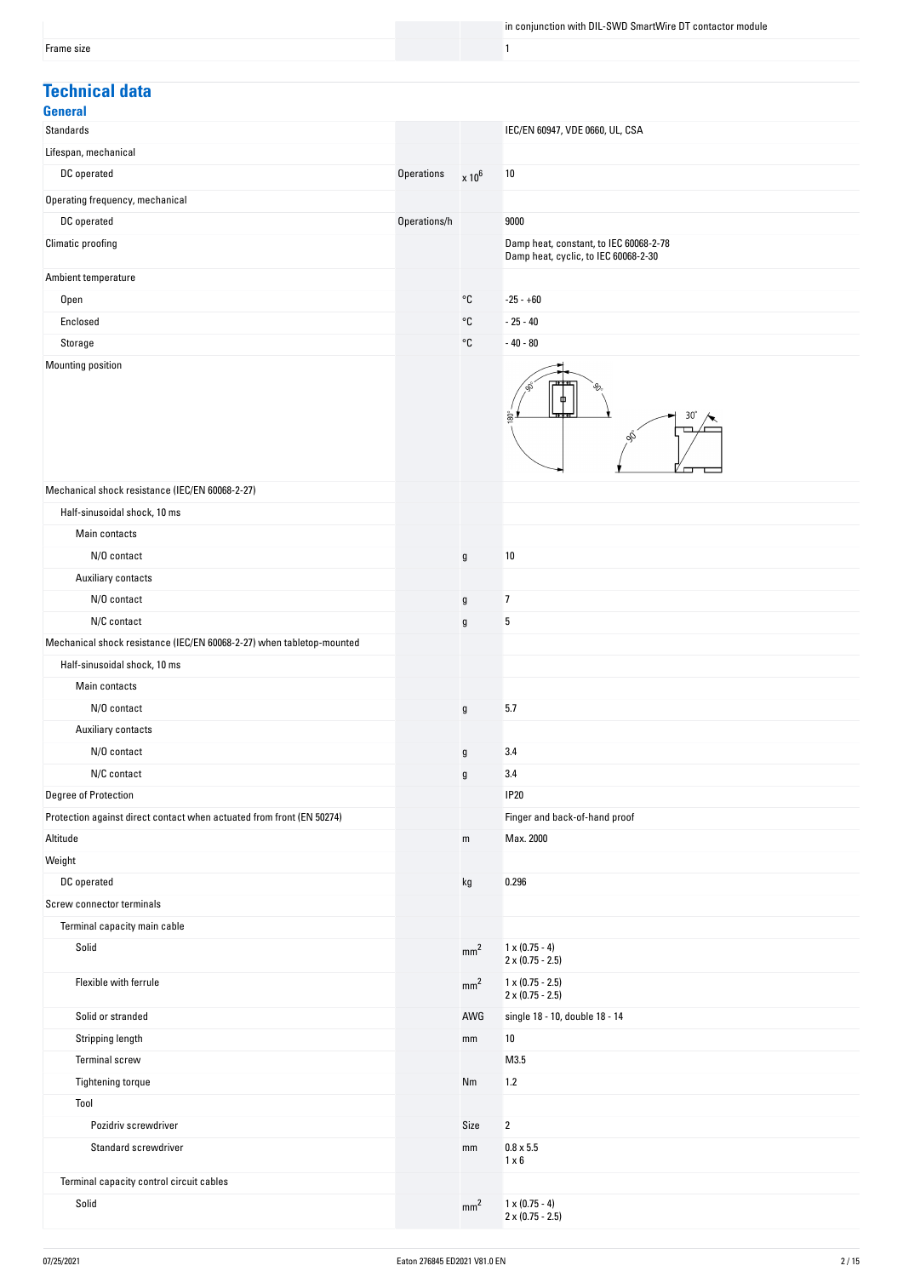### **Technical data**

| .<br>w |
|--------|
|--------|

| delleral                                                              |              |                 |                                                                                |
|-----------------------------------------------------------------------|--------------|-----------------|--------------------------------------------------------------------------------|
| <b>Standards</b>                                                      |              |                 | IEC/EN 60947, VDE 0660, UL, CSA                                                |
| Lifespan, mechanical                                                  |              |                 |                                                                                |
| DC operated                                                           | Operations   | $\times 10^6$   | 10                                                                             |
| Operating frequency, mechanical                                       |              |                 |                                                                                |
| DC operated                                                           | Operations/h |                 | 9000                                                                           |
| Climatic proofing                                                     |              |                 | Damp heat, constant, to IEC 60068-2-78<br>Damp heat, cyclic, to IEC 60068-2-30 |
| Ambient temperature                                                   |              |                 |                                                                                |
| Open                                                                  |              | °C              | $-25 - +60$                                                                    |
| Enclosed                                                              |              | °C              | $-25 - 40$                                                                     |
| Storage                                                               |              | °C              | $-40 - 80$                                                                     |
| Mounting position                                                     |              |                 |                                                                                |
|                                                                       |              |                 | $30^\circ$<br>$\tilde{8}$<br>ô,                                                |
| Mechanical shock resistance (IEC/EN 60068-2-27)                       |              |                 |                                                                                |
| Half-sinusoidal shock, 10 ms                                          |              |                 |                                                                                |
| Main contacts                                                         |              |                 |                                                                                |
| N/O contact                                                           |              | $\mathsf{g}$    | 10                                                                             |
| Auxiliary contacts                                                    |              |                 |                                                                                |
| N/O contact                                                           |              | $\mathfrak g$   | $\overline{1}$                                                                 |
| N/C contact                                                           |              | g               | 5                                                                              |
| Mechanical shock resistance (IEC/EN 60068-2-27) when tabletop-mounted |              |                 |                                                                                |
| Half-sinusoidal shock, 10 ms                                          |              |                 |                                                                                |
| Main contacts                                                         |              |                 |                                                                                |
| N/O contact                                                           |              | $\mathfrak g$   | 5.7                                                                            |
| Auxiliary contacts                                                    |              |                 |                                                                                |
| N/O contact                                                           |              | $\mathsf g$     | 3.4                                                                            |
| N/C contact                                                           |              | g               | 3.4                                                                            |
| Degree of Protection                                                  |              |                 | <b>IP20</b>                                                                    |
| Protection against direct contact when actuated from front (EN 50274) |              |                 | Finger and back-of-hand proof                                                  |
| Altitude                                                              |              | ${\sf m}$       | Max. 2000                                                                      |
| Weight                                                                |              |                 |                                                                                |
| DC operated                                                           |              | kg              | 0.296                                                                          |
| Screw connector terminals                                             |              |                 |                                                                                |
| Terminal capacity main cable                                          |              |                 |                                                                                |
| Solid                                                                 |              | mm <sup>2</sup> | $1 \times (0.75 - 4)$<br>$2 \times (0.75 - 2.5)$                               |
| Flexible with ferrule                                                 |              | mm <sup>2</sup> | $1 \times (0.75 - 2.5)$<br>$2 \times (0.75 - 2.5)$                             |
| Solid or stranded                                                     |              | AWG             | single 18 - 10, double 18 - 14                                                 |
| Stripping length                                                      |              | mm              | 10                                                                             |
| <b>Terminal screw</b>                                                 |              |                 | M3.5                                                                           |
| Tightening torque                                                     |              | Nm              | 1.2                                                                            |
| Tool                                                                  |              |                 |                                                                                |
| Pozidriv screwdriver                                                  |              | Size            | $\overline{2}$                                                                 |
| Standard screwdriver                                                  |              | mm              | $0.8 \times 5.5$<br>$1 \times 6$                                               |
| Terminal capacity control circuit cables                              |              |                 |                                                                                |
| Solid                                                                 |              | mm <sup>2</sup> | $1 \times (0.75 - 4)$<br>$2 \times (0.75 - 2.5)$                               |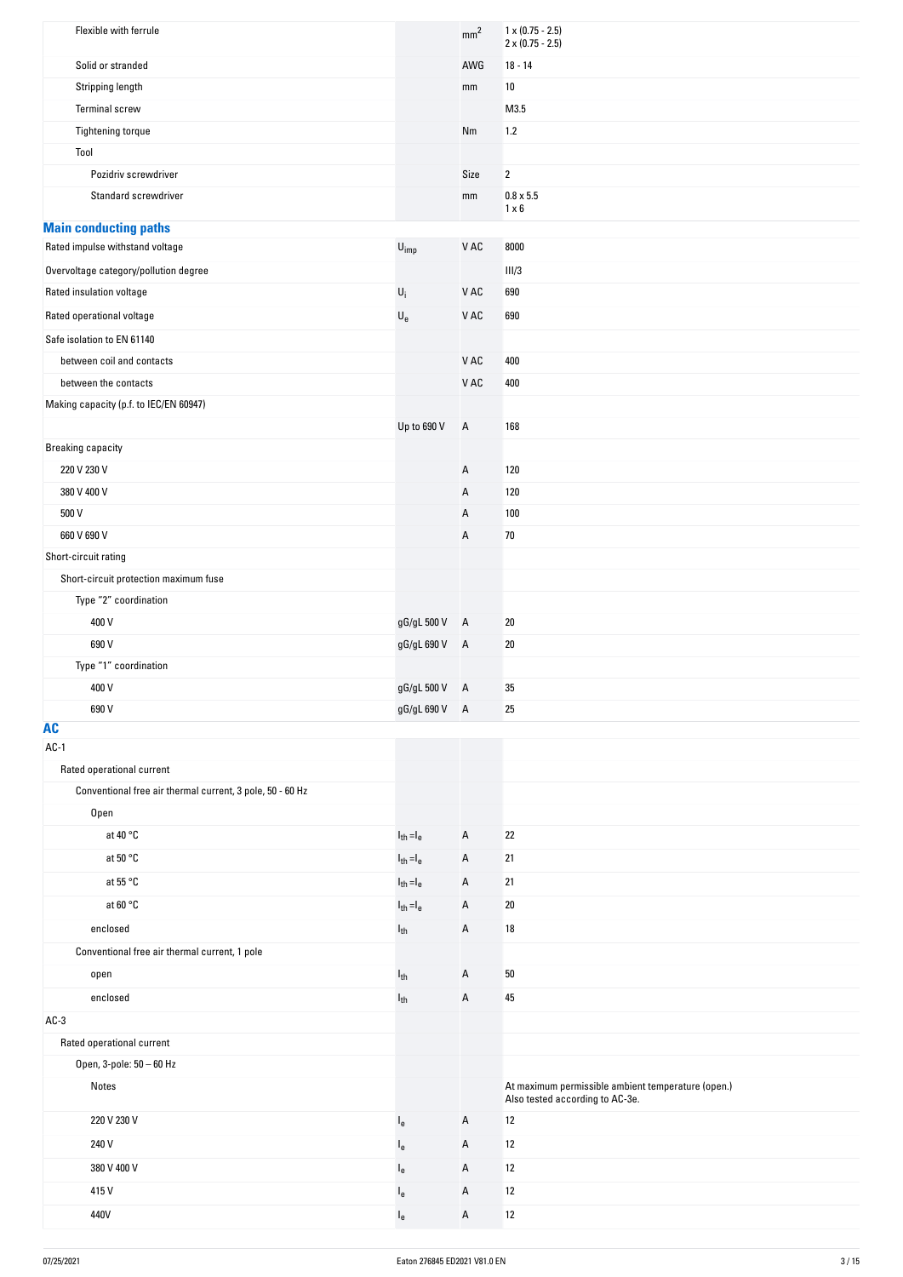| Flexible with ferrule                                     |                             | mm <sup>2</sup> | $1 \times (0.75 - 2.5)$<br>$2 \times (0.75 - 2.5)$                                    |
|-----------------------------------------------------------|-----------------------------|-----------------|---------------------------------------------------------------------------------------|
| Solid or stranded                                         |                             | AWG             | $18 - 14$                                                                             |
| Stripping length                                          |                             | mm              | 10                                                                                    |
| <b>Terminal screw</b>                                     |                             |                 | M3.5                                                                                  |
| Tightening torque                                         |                             | Nm              | 1.2                                                                                   |
| Tool                                                      |                             |                 |                                                                                       |
| Pozidriv screwdriver                                      |                             | Size            | $\overline{2}$                                                                        |
| Standard screwdriver                                      |                             | mm              | $0.8 \times 5.5$<br>$1 \times 6$                                                      |
| <b>Main conducting paths</b>                              |                             |                 |                                                                                       |
| Rated impulse withstand voltage                           | $\mathsf{U}_{\mathsf{imp}}$ | ${\tt V}$ AC    | 8000                                                                                  |
| Overvoltage category/pollution degree                     |                             |                 | III/3                                                                                 |
| Rated insulation voltage                                  | $U_i$                       | V AC            | 690                                                                                   |
| Rated operational voltage                                 | $\mathsf{U}_{\mathsf{e}}$   | ${\tt V}$ AC    | 690                                                                                   |
| Safe isolation to EN 61140                                |                             |                 |                                                                                       |
| between coil and contacts                                 |                             | V AC            | 400                                                                                   |
| between the contacts                                      |                             | V AC            | 400                                                                                   |
| Making capacity (p.f. to IEC/EN 60947)                    |                             |                 |                                                                                       |
|                                                           | Up to 690 V                 | $\mathsf{A}$    | 168                                                                                   |
| <b>Breaking capacity</b>                                  |                             |                 |                                                                                       |
| 220 V 230 V                                               |                             | А               | 120                                                                                   |
| 380 V 400 V                                               |                             | А               | 120                                                                                   |
| 500 V                                                     |                             | А               | 100                                                                                   |
| 660 V 690 V                                               |                             | А               | 70                                                                                    |
| Short-circuit rating                                      |                             |                 |                                                                                       |
| Short-circuit protection maximum fuse                     |                             |                 |                                                                                       |
| Type "2" coordination                                     |                             |                 |                                                                                       |
| 400 V                                                     | gG/gL 500 V                 | A               | 20                                                                                    |
| 690 V                                                     | gG/gL 690 V A               |                 | 20                                                                                    |
| Type "1" coordination                                     |                             |                 |                                                                                       |
| 400 V                                                     | gG/gL 500 V A               |                 | 35                                                                                    |
| 690 V                                                     | gG/gL 690 V A               |                 | 25                                                                                    |
| <b>AC</b>                                                 |                             |                 |                                                                                       |
| $AC-1$                                                    |                             |                 |                                                                                       |
| Rated operational current                                 |                             |                 |                                                                                       |
| Conventional free air thermal current, 3 pole, 50 - 60 Hz |                             |                 |                                                                                       |
| Open                                                      |                             |                 |                                                                                       |
| at 40 °C                                                  | $I_{th} = I_e$              | А               | 22                                                                                    |
| at 50 $\degree$ C                                         | $I_{th} = I_e$              | А               | 21                                                                                    |
| at 55 °C                                                  | $I_{th} = I_e$              | А               | 21                                                                                    |
| at 60 $^{\circ}$ C                                        | $I_{th} = I_e$              | Α               | 20                                                                                    |
| enclosed                                                  | $I_{th}$                    | А               | 18                                                                                    |
| Conventional free air thermal current, 1 pole             |                             |                 |                                                                                       |
| open                                                      | $I_{th}$                    | А               | 50                                                                                    |
|                                                           |                             |                 |                                                                                       |
| enclosed                                                  | $I_{th}$                    | Α               | 45                                                                                    |
| $AC-3$                                                    |                             |                 |                                                                                       |
| Rated operational current                                 |                             |                 |                                                                                       |
| Open, 3-pole: 50 - 60 Hz                                  |                             |                 |                                                                                       |
| Notes                                                     |                             |                 | At maximum permissible ambient temperature (open.)<br>Also tested according to AC-3e. |
| 220 V 230 V                                               | $I_e$                       | А               | 12                                                                                    |
| 240 V                                                     | $I_{e}$                     | А               | 12                                                                                    |
| 380 V 400 V                                               | $I_{e}$                     | А               | 12                                                                                    |
| 415V                                                      | $I_{e}$                     | А               | 12                                                                                    |
| 440V                                                      | $I_e$                       | А               | $12$                                                                                  |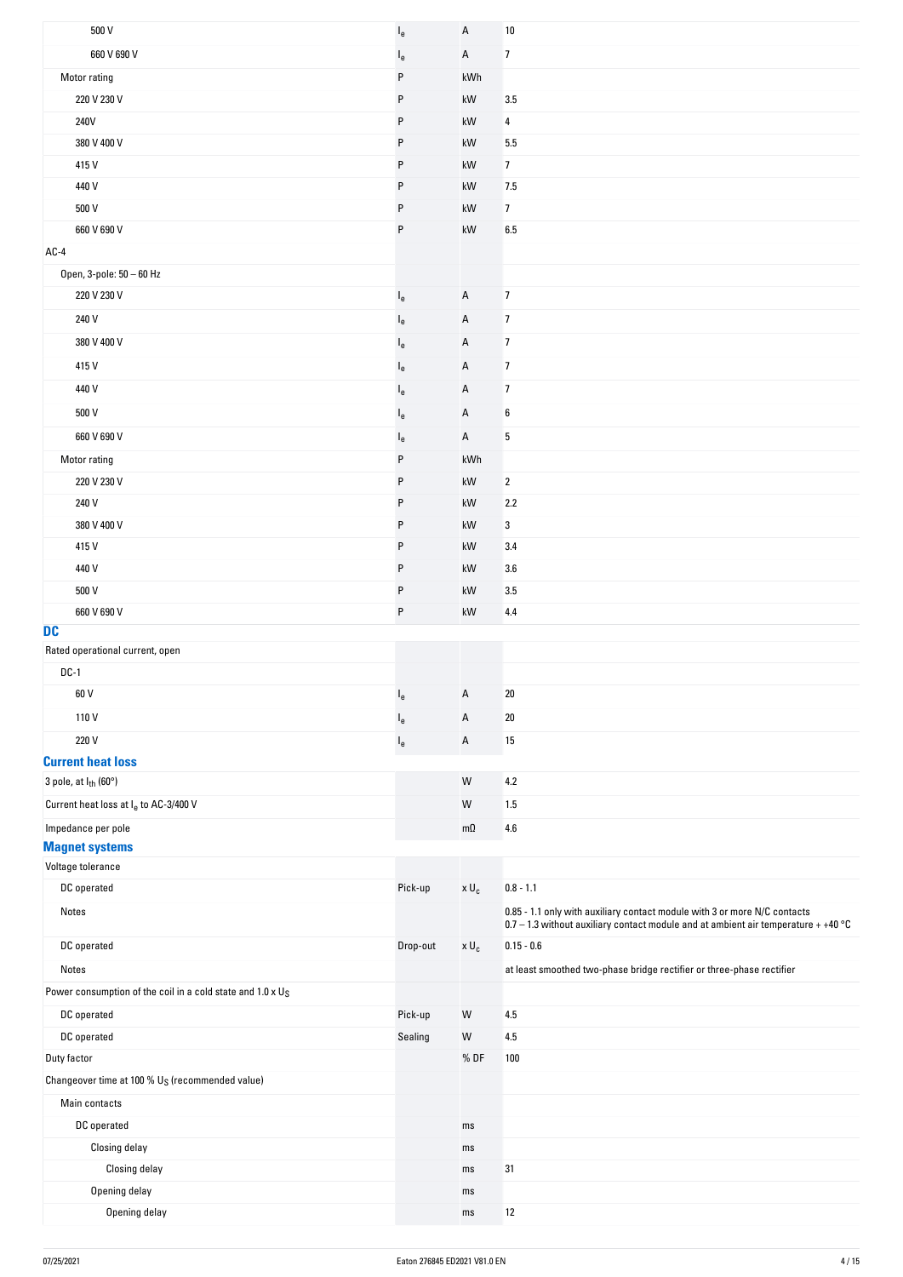| 500 V                                                                  | $I_{e}$  | A                   | 10                                                                                                                                                                |
|------------------------------------------------------------------------|----------|---------------------|-------------------------------------------------------------------------------------------------------------------------------------------------------------------|
| 660 V 690 V                                                            | $I_{e}$  | Α                   | 7                                                                                                                                                                 |
| Motor rating                                                           | P        | kWh                 |                                                                                                                                                                   |
| 220 V 230 V                                                            | P        | kW                  | 3.5                                                                                                                                                               |
| 240V                                                                   | P        | kW                  | 4                                                                                                                                                                 |
| 380 V 400 V                                                            | P        | kW                  | 5.5                                                                                                                                                               |
| 415V                                                                   | P        | kW                  | $\overline{7}$                                                                                                                                                    |
| 440 V                                                                  | P        | kW                  | 7.5                                                                                                                                                               |
| 500 V                                                                  | P        | kW                  | $\overline{7}$                                                                                                                                                    |
| 660 V 690 V                                                            | P        | kW                  | 6.5                                                                                                                                                               |
| $AC-4$                                                                 |          |                     |                                                                                                                                                                   |
| Open, 3-pole: 50 - 60 Hz                                               |          |                     |                                                                                                                                                                   |
| 220 V 230 V                                                            | le       | Α                   | $\overline{7}$                                                                                                                                                    |
| 240 V                                                                  | $I_{e}$  | Α                   | $\overline{7}$                                                                                                                                                    |
| 380 V 400 V                                                            | $I_{e}$  | Α                   | $\overline{7}$                                                                                                                                                    |
| 415V                                                                   | $I_{e}$  | Α                   | $\overline{7}$                                                                                                                                                    |
| 440 V                                                                  |          | Α                   | $\overline{7}$                                                                                                                                                    |
|                                                                        | $I_{e}$  |                     |                                                                                                                                                                   |
| 500 V                                                                  | $I_{e}$  | Α                   | 6                                                                                                                                                                 |
| 660 V 690 V                                                            | $I_{e}$  | A                   | 5                                                                                                                                                                 |
| Motor rating                                                           | P        | kWh                 |                                                                                                                                                                   |
| 220 V 230 V                                                            | P        | kW                  | $\mathbf{2}$                                                                                                                                                      |
| 240 V                                                                  | P        | kW                  | 2.2                                                                                                                                                               |
| 380 V 400 V                                                            | P        | kW                  | 3                                                                                                                                                                 |
| 415V                                                                   | P        | kW                  | 3.4                                                                                                                                                               |
| 440 V                                                                  | P        | kW                  | 3.6                                                                                                                                                               |
| 500 V                                                                  | P        | kW                  | 3.5                                                                                                                                                               |
| 660 V 690 V<br><b>DC</b>                                               | P        | kW                  | 4.4                                                                                                                                                               |
| Rated operational current, open                                        |          |                     |                                                                                                                                                                   |
| $DC-1$                                                                 |          |                     |                                                                                                                                                                   |
| 60 V                                                                   | $l_e$    | A                   | $20\,$                                                                                                                                                            |
| 110V                                                                   | $I_{e}$  | A                   | 20                                                                                                                                                                |
| 220 V                                                                  | $I_e$    | A                   | 15                                                                                                                                                                |
| <b>Current heat loss</b>                                               |          |                     |                                                                                                                                                                   |
| 3 pole, at I <sub>th</sub> (60°)                                       |          | W                   | $4.2\,$                                                                                                                                                           |
| Current heat loss at I <sub>e</sub> to AC-3/400 V                      |          | ${\sf W}$           | 1.5                                                                                                                                                               |
| Impedance per pole                                                     |          | $m\Omega$           | 4.6                                                                                                                                                               |
| <b>Magnet systems</b>                                                  |          |                     |                                                                                                                                                                   |
| Voltage tolerance                                                      |          |                     |                                                                                                                                                                   |
| DC operated                                                            | Pick-up  | $\times$ $\sf{U}_c$ | $0.8 - 1.1$                                                                                                                                                       |
| Notes                                                                  |          |                     | 0.85 - 1.1 only with auxiliary contact module with 3 or more N/C contacts<br>$0.7 - 1.3$ without auxiliary contact module and at ambient air temperature + +40 °C |
| DC operated                                                            | Drop-out | $\times$ $\sf{U}_c$ | $0.15 - 0.6$                                                                                                                                                      |
| Notes                                                                  |          |                     | at least smoothed two-phase bridge rectifier or three-phase rectifier                                                                                             |
| Power consumption of the coil in a cold state and 1.0 x U <sub>S</sub> |          |                     |                                                                                                                                                                   |
| DC operated                                                            | Pick-up  | W                   | 4.5                                                                                                                                                               |
| DC operated                                                            | Sealing  | ${\sf W}$           | 4.5                                                                                                                                                               |
| Duty factor                                                            |          | %DF                 | 100                                                                                                                                                               |
| Changeover time at 100 % $U_S$ (recommended value)                     |          |                     |                                                                                                                                                                   |
| Main contacts                                                          |          |                     |                                                                                                                                                                   |
| DC operated                                                            |          | ms                  |                                                                                                                                                                   |
| Closing delay                                                          |          | ms                  |                                                                                                                                                                   |
| Closing delay                                                          |          | ms                  | 31                                                                                                                                                                |
| Opening delay                                                          |          | ms                  |                                                                                                                                                                   |
| Opening delay                                                          |          | ms                  | $12$                                                                                                                                                              |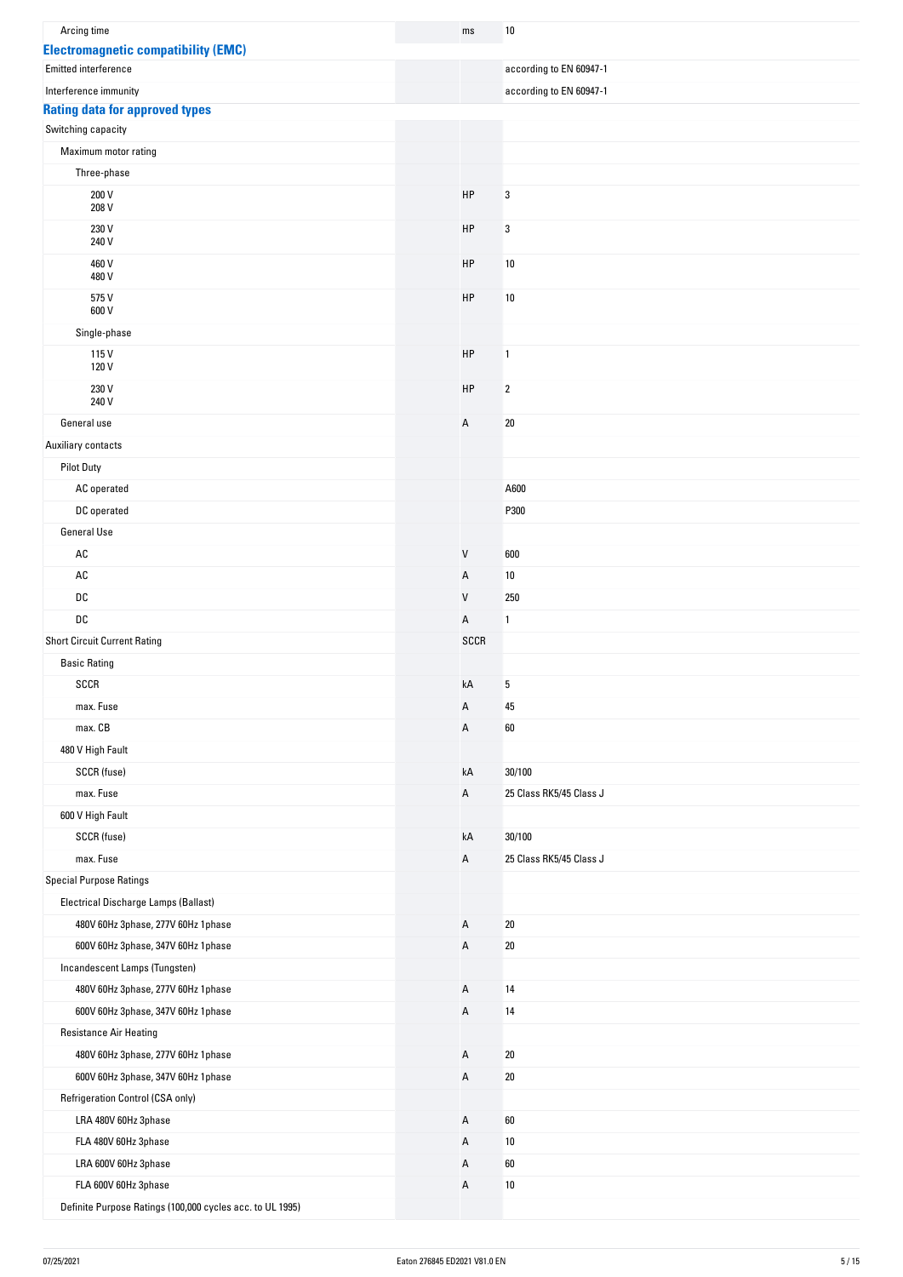| Arcing time                                               | ms             |             | 10                      |
|-----------------------------------------------------------|----------------|-------------|-------------------------|
| <b>Electromagnetic compatibility (EMC)</b>                |                |             |                         |
| Emitted interference                                      |                |             | according to EN 60947-1 |
| Interference immunity                                     |                |             | according to EN 60947-1 |
| <b>Rating data for approved types</b>                     |                |             |                         |
| Switching capacity                                        |                |             |                         |
| Maximum motor rating                                      |                |             |                         |
| Three-phase                                               |                |             |                         |
| 200 V<br>208 V                                            | HP             |             | 3                       |
| 230 V<br>240 V                                            | HP             |             | 3                       |
| 460 V<br>480 V                                            | HP             |             | $10\,$                  |
| 575V<br>600 V                                             | HP             |             | 10                      |
| Single-phase                                              |                |             |                         |
| 115V                                                      | HP             |             | 1                       |
| 120 V                                                     |                |             |                         |
| 230 V<br>240 V                                            | HP             |             | $\boldsymbol{2}$        |
| General use                                               | A              |             | $20\,$                  |
| Auxiliary contacts                                        |                |             |                         |
| <b>Pilot Duty</b>                                         |                |             |                         |
| AC operated                                               |                |             | A600                    |
| DC operated                                               |                |             | P300                    |
| General Use                                               |                |             |                         |
| AC                                                        | V              |             | 600                     |
| $\mathsf{A}\mathsf{C}$                                    | Α              |             | 10                      |
| DC                                                        | V              |             | 250                     |
| DC                                                        | Α              |             | 1                       |
| <b>Short Circuit Current Rating</b>                       |                | <b>SCCR</b> |                         |
| <b>Basic Rating</b>                                       |                |             |                         |
| SCCR                                                      | kA             |             | 5                       |
| max. Fuse                                                 | Α              |             | 45                      |
| max. CB                                                   | Α              |             | 60                      |
| 480 V High Fault                                          |                |             |                         |
| SCCR (fuse)                                               | kA             |             | 30/100                  |
| max. Fuse                                                 | Α              |             | 25 Class RK5/45 Class J |
| 600 V High Fault                                          |                |             |                         |
| SCCR (fuse)                                               | kA             |             | 30/100                  |
| max. Fuse                                                 | Α              |             | 25 Class RK5/45 Class J |
| <b>Special Purpose Ratings</b>                            |                |             |                         |
| Electrical Discharge Lamps (Ballast)                      |                |             |                         |
| 480V 60Hz 3phase, 277V 60Hz 1phase                        | A              |             | $20\,$                  |
| 600V 60Hz 3phase, 347V 60Hz 1phase                        | $\overline{A}$ |             | $20\,$                  |
| Incandescent Lamps (Tungsten)                             |                |             |                         |
| 480V 60Hz 3phase, 277V 60Hz 1phase                        | Α              |             | 14                      |
| 600V 60Hz 3phase, 347V 60Hz 1phase                        | Α              |             | 14                      |
| <b>Resistance Air Heating</b>                             |                |             |                         |
| 480V 60Hz 3phase, 277V 60Hz 1phase                        | A              |             | 20                      |
| 600V 60Hz 3phase, 347V 60Hz 1phase                        | Α              |             | $20\,$                  |
| Refrigeration Control (CSA only)                          |                |             |                         |
| LRA 480V 60Hz 3phase                                      | Α              |             | 60                      |
| FLA 480V 60Hz 3phase                                      | А              |             | 10                      |
| LRA 600V 60Hz 3phase                                      | Α              |             | 60                      |
| FLA 600V 60Hz 3phase                                      | Α              |             | $10\,$                  |
| Definite Purpose Ratings (100,000 cycles acc. to UL 1995) |                |             |                         |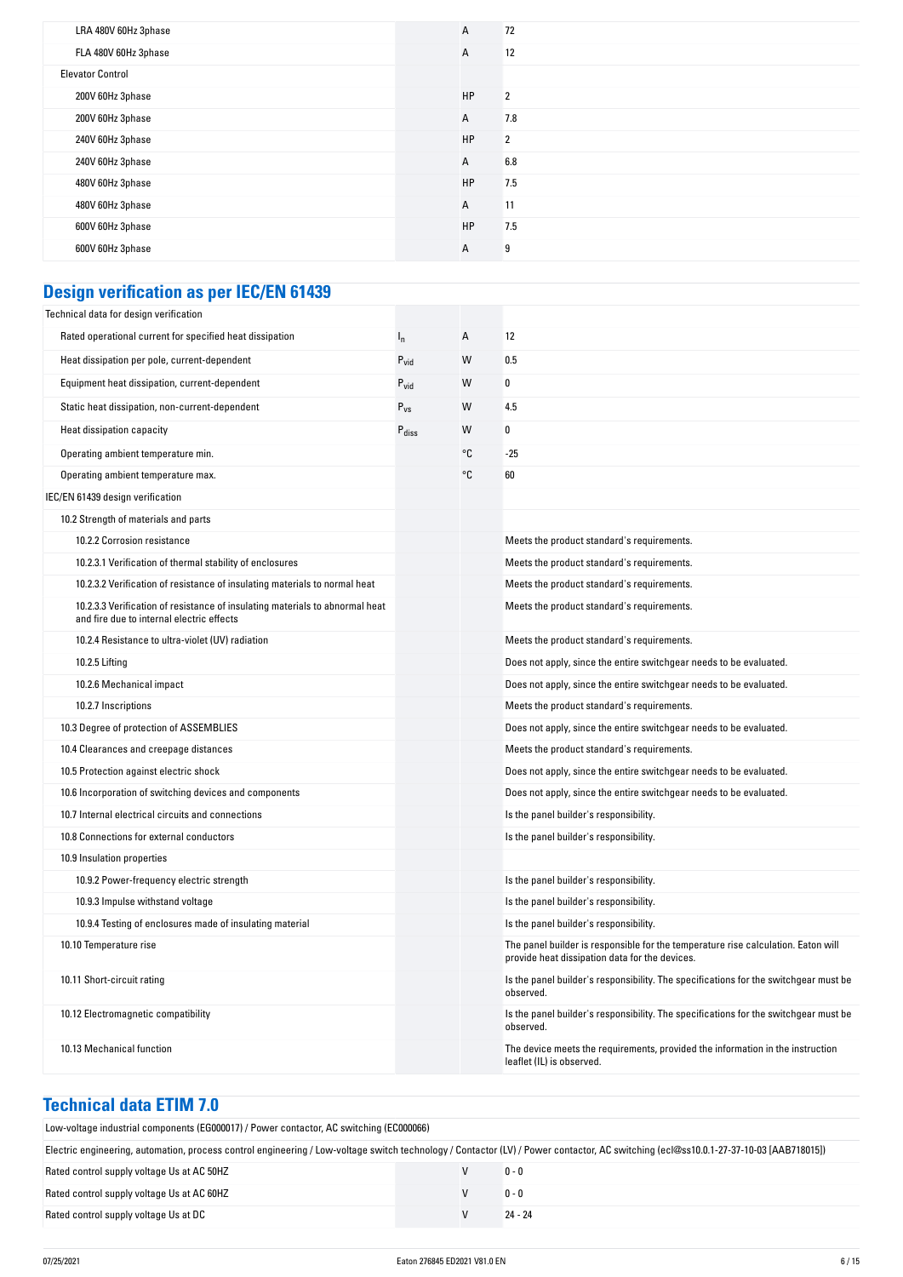| LRA 480V 60Hz 3phase    | A         | 72             |
|-------------------------|-----------|----------------|
| FLA 480V 60Hz 3phase    | А         | 12             |
| <b>Elevator Control</b> |           |                |
| 200V 60Hz 3phase        | <b>HP</b> | $\overline{2}$ |
| 200V 60Hz 3phase        | А         | 7.8            |
| 240V 60Hz 3phase        | <b>HP</b> | $\overline{2}$ |
| 240V 60Hz 3phase        | А         | 6.8            |
| 480V 60Hz 3phase        | <b>HP</b> | 7.5            |
| 480V 60Hz 3phase        | A         | 11             |
| 600V 60Hz 3phase        | <b>HP</b> | 7.5            |
| 600V 60Hz 3phase        | А         | 9              |

# **Design verification as per IEC/EN 61439**

| Rated operational current for specified heat dissipation<br>12<br>А<br>$I_{n}$<br>Heat dissipation per pole, current-dependent<br>$P_{vid}$<br>W<br>0.5                 |  |
|-------------------------------------------------------------------------------------------------------------------------------------------------------------------------|--|
|                                                                                                                                                                         |  |
|                                                                                                                                                                         |  |
| 0<br>Equipment heat dissipation, current-dependent<br>W<br>$P_{\text{vid}}$                                                                                             |  |
| Static heat dissipation, non-current-dependent<br>$P_{VS}$<br>W<br>4.5                                                                                                  |  |
| Heat dissipation capacity<br>W<br>0<br>$P_{\text{diss}}$                                                                                                                |  |
| °C<br>Operating ambient temperature min.<br>$-25$                                                                                                                       |  |
| °C<br>60<br>Operating ambient temperature max.                                                                                                                          |  |
| IEC/EN 61439 design verification                                                                                                                                        |  |
| 10.2 Strength of materials and parts                                                                                                                                    |  |
| 10.2.2 Corrosion resistance<br>Meets the product standard's requirements.                                                                                               |  |
| 10.2.3.1 Verification of thermal stability of enclosures<br>Meets the product standard's requirements.                                                                  |  |
| 10.2.3.2 Verification of resistance of insulating materials to normal heat<br>Meets the product standard's requirements.                                                |  |
| 10.2.3.3 Verification of resistance of insulating materials to abnormal heat<br>Meets the product standard's requirements.<br>and fire due to internal electric effects |  |
| 10.2.4 Resistance to ultra-violet (UV) radiation<br>Meets the product standard's requirements.                                                                          |  |
| 10.2.5 Lifting<br>Does not apply, since the entire switchgear needs to be evaluated.                                                                                    |  |
| 10.2.6 Mechanical impact<br>Does not apply, since the entire switchgear needs to be evaluated.                                                                          |  |
| 10.2.7 Inscriptions<br>Meets the product standard's requirements.                                                                                                       |  |
| 10.3 Degree of protection of ASSEMBLIES<br>Does not apply, since the entire switchgear needs to be evaluated.                                                           |  |
| 10.4 Clearances and creepage distances<br>Meets the product standard's requirements.                                                                                    |  |
| 10.5 Protection against electric shock<br>Does not apply, since the entire switchgear needs to be evaluated.                                                            |  |
| 10.6 Incorporation of switching devices and components<br>Does not apply, since the entire switchgear needs to be evaluated.                                            |  |
| 10.7 Internal electrical circuits and connections<br>Is the panel builder's responsibility.                                                                             |  |
| 10.8 Connections for external conductors<br>Is the panel builder's responsibility.                                                                                      |  |
| 10.9 Insulation properties                                                                                                                                              |  |
| 10.9.2 Power-frequency electric strength<br>Is the panel builder's responsibility.                                                                                      |  |
| 10.9.3 Impulse withstand voltage<br>Is the panel builder's responsibility.                                                                                              |  |
| 10.9.4 Testing of enclosures made of insulating material<br>Is the panel builder's responsibility.                                                                      |  |
| 10.10 Temperature rise<br>The panel builder is responsible for the temperature rise calculation. Eaton will<br>provide heat dissipation data for the devices.           |  |
| 10.11 Short-circuit rating<br>Is the panel builder's responsibility. The specifications for the switchgear must be<br>observed.                                         |  |
| Is the panel builder's responsibility. The specifications for the switchgear must be<br>10.12 Electromagnetic compatibility<br>observed.                                |  |
| 10.13 Mechanical function<br>The device meets the requirements, provided the information in the instruction<br>leaflet (IL) is observed.                                |  |

### **Technical data ETIM 7.0**

| Low-voltage industrial components (EG000017) / Power contactor, AC switching (EC000066) |  |
|-----------------------------------------------------------------------------------------|--|
|                                                                                         |  |

| Electric engineering, automation, process control engineering / Low-voltage switch technology / Contactor (LV) / Power contactor, AC switching (ecl@ss10.0.1-27-37-10-03 [AAB718015]) |  |           |
|---------------------------------------------------------------------------------------------------------------------------------------------------------------------------------------|--|-----------|
| Rated control supply voltage Us at AC 50HZ                                                                                                                                            |  | $0 - 0$   |
| Rated control supply voltage Us at AC 60HZ                                                                                                                                            |  | $0 - 0$   |
| Rated control supply voltage Us at DC                                                                                                                                                 |  | $24 - 24$ |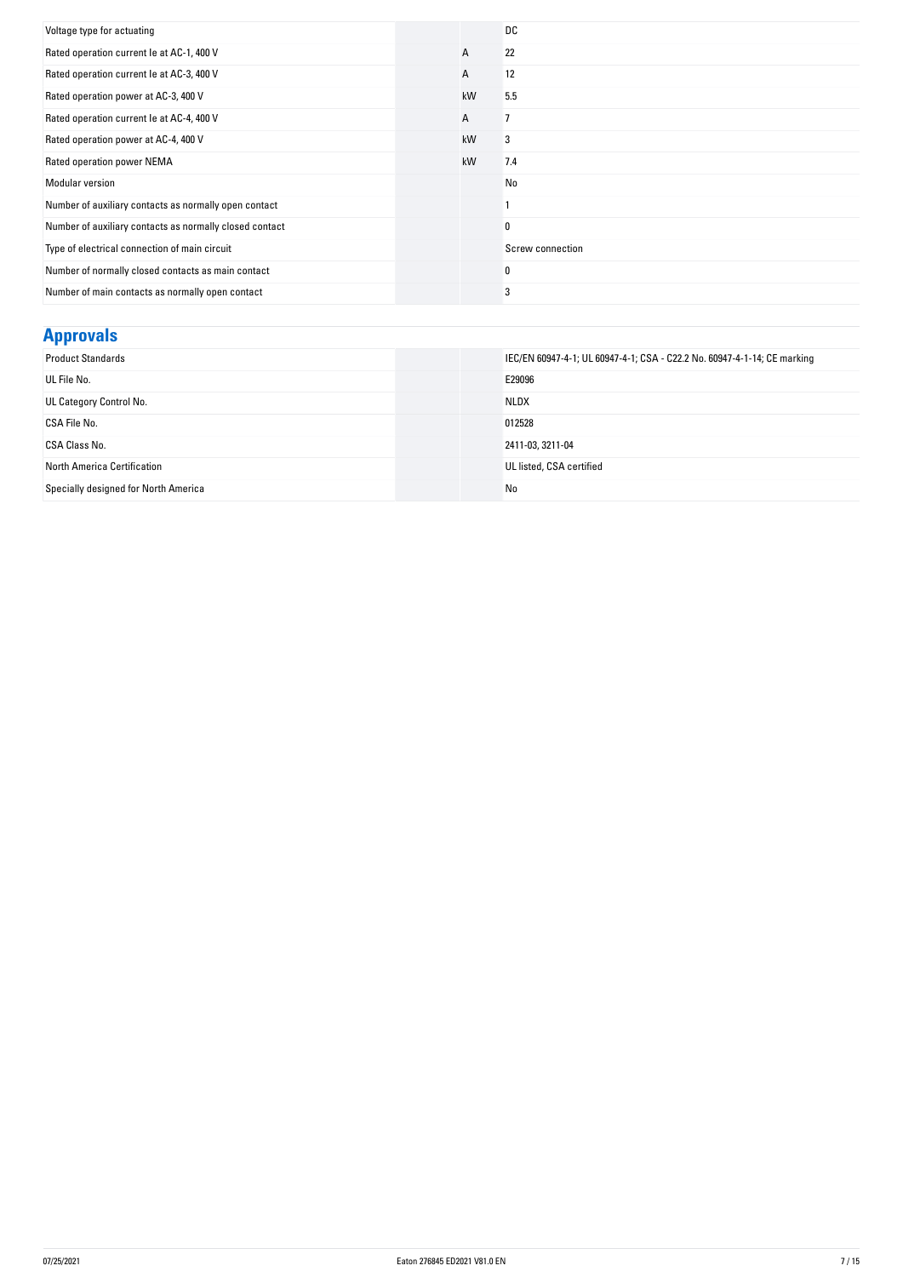| Voltage type for actuating                              |    | DC               |
|---------------------------------------------------------|----|------------------|
| Rated operation current le at AC-1, 400 V               | A  | 22               |
| Rated operation current le at AC-3, 400 V               | A  | 12               |
| Rated operation power at AC-3, 400 V                    | kW | 5.5              |
| Rated operation current le at AC-4, 400 V               | Α  |                  |
| Rated operation power at AC-4, 400 V                    | kW | 3                |
| Rated operation power NEMA                              | kW | 7.4              |
| <b>Modular version</b>                                  |    | No               |
| Number of auxiliary contacts as normally open contact   |    |                  |
| Number of auxiliary contacts as normally closed contact |    | 0                |
| Type of electrical connection of main circuit           |    | Screw connection |
| Number of normally closed contacts as main contact      |    | 0                |
| Number of main contacts as normally open contact        |    | 3                |

## **Approvals**

| <b>Product Standards</b>             | IEC/EN 60947-4-1; UL 60947-4-1; CSA - C22.2 No. 60947-4-1-14; CE marking |
|--------------------------------------|--------------------------------------------------------------------------|
| UL File No.                          | E29096                                                                   |
| UL Category Control No.              | <b>NLDX</b>                                                              |
| CSA File No.                         | 012528                                                                   |
| CSA Class No.                        | 2411-03, 3211-04                                                         |
| <b>North America Certification</b>   | UL listed, CSA certified                                                 |
| Specially designed for North America | No                                                                       |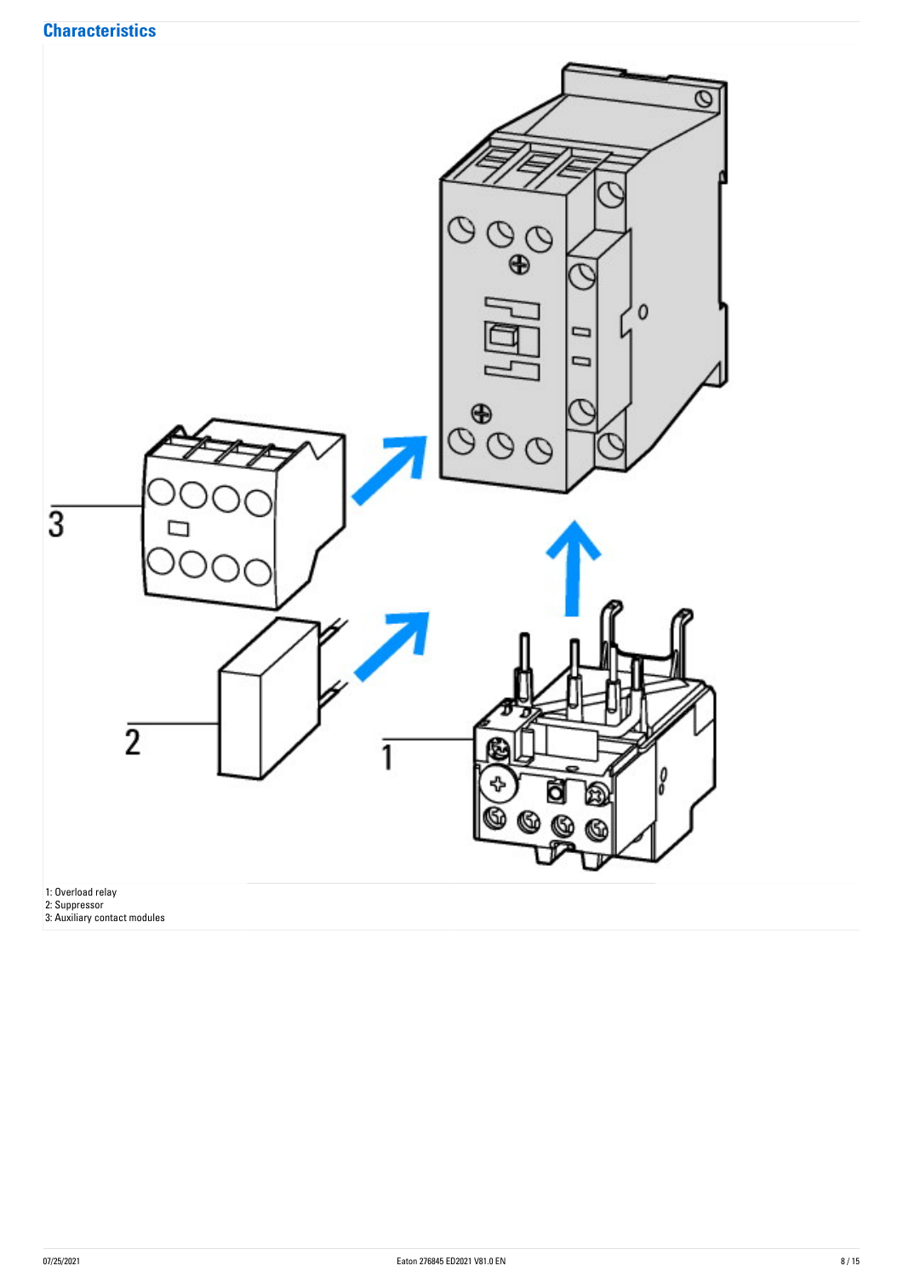

1: Overload relay

2: Suppressor

3: Auxiliary contact modules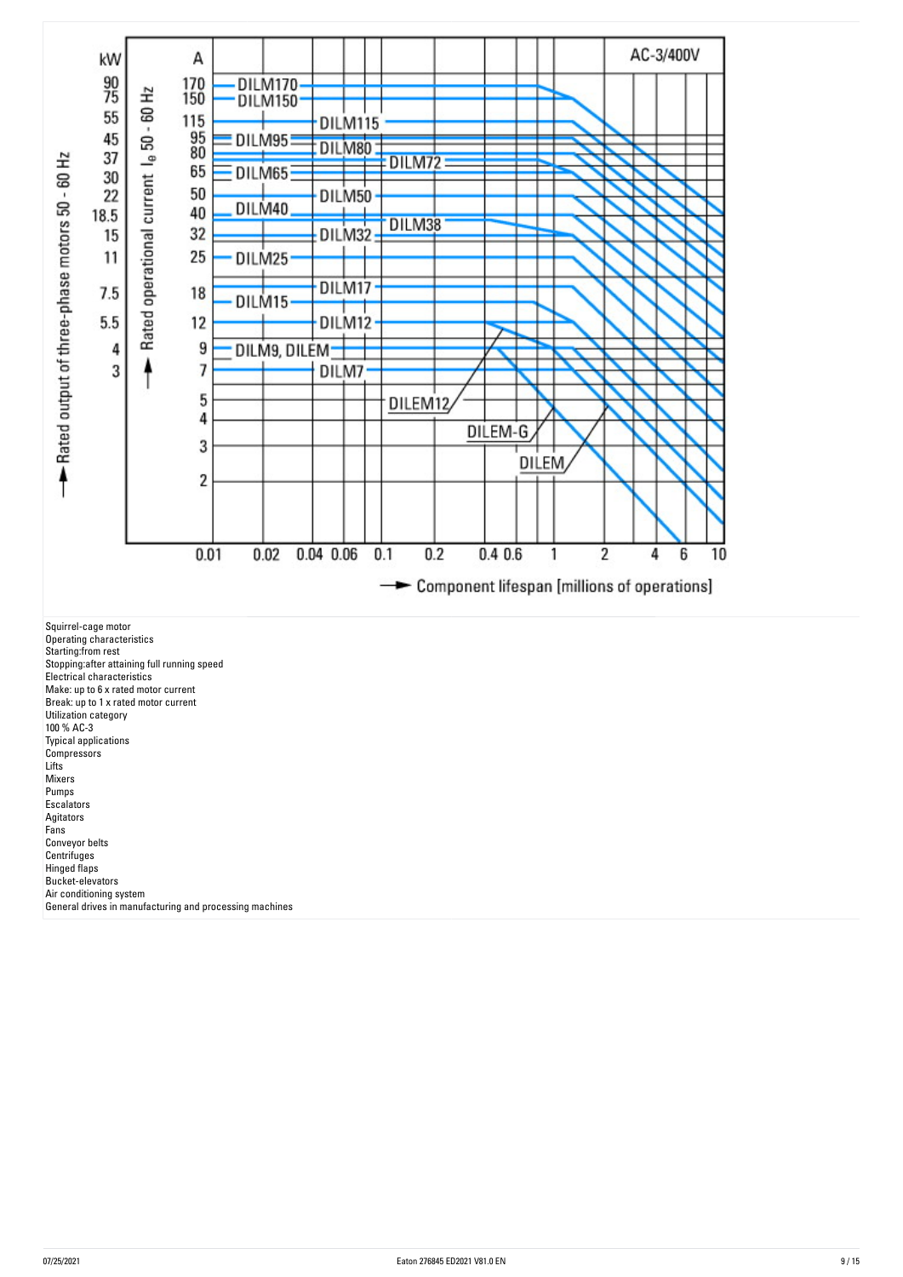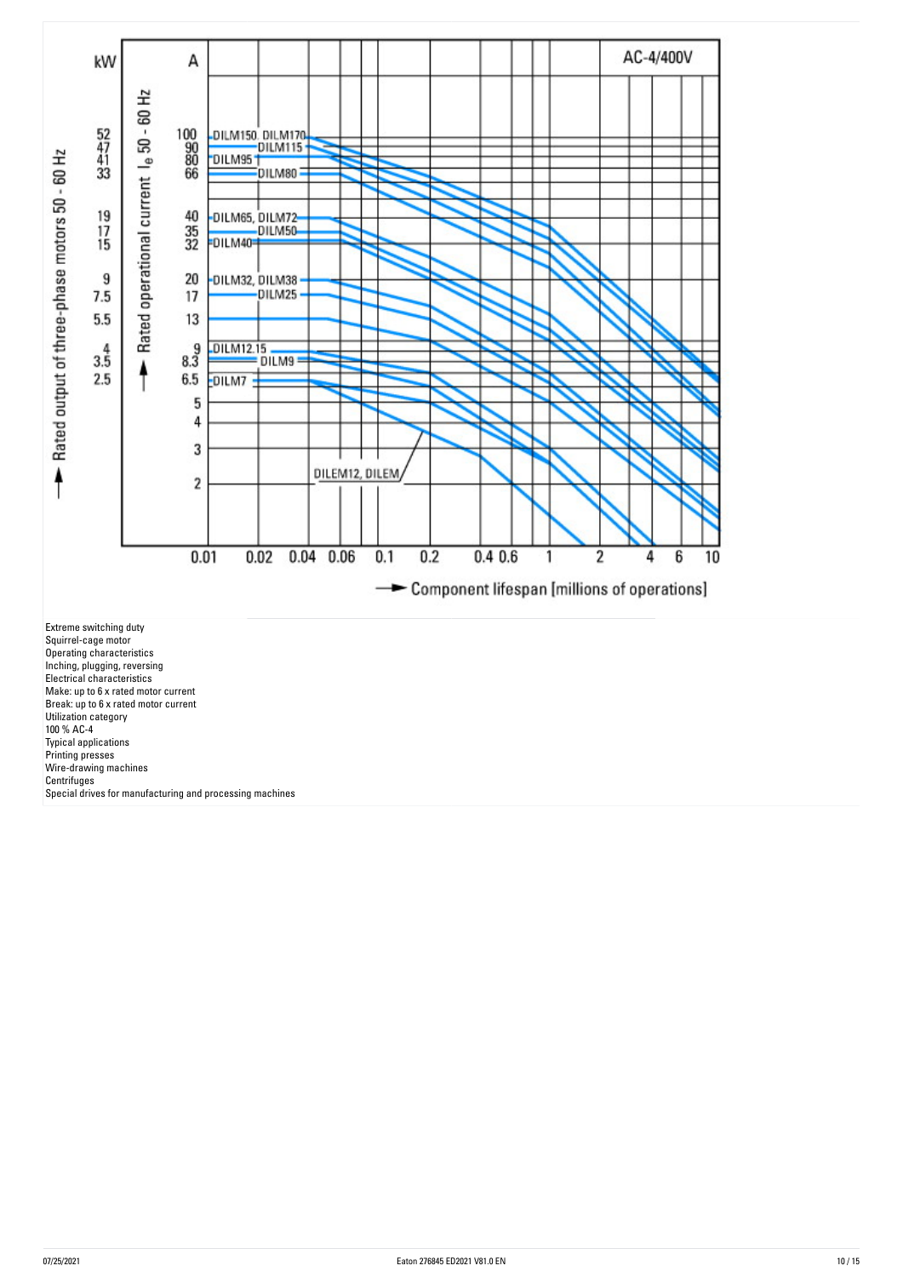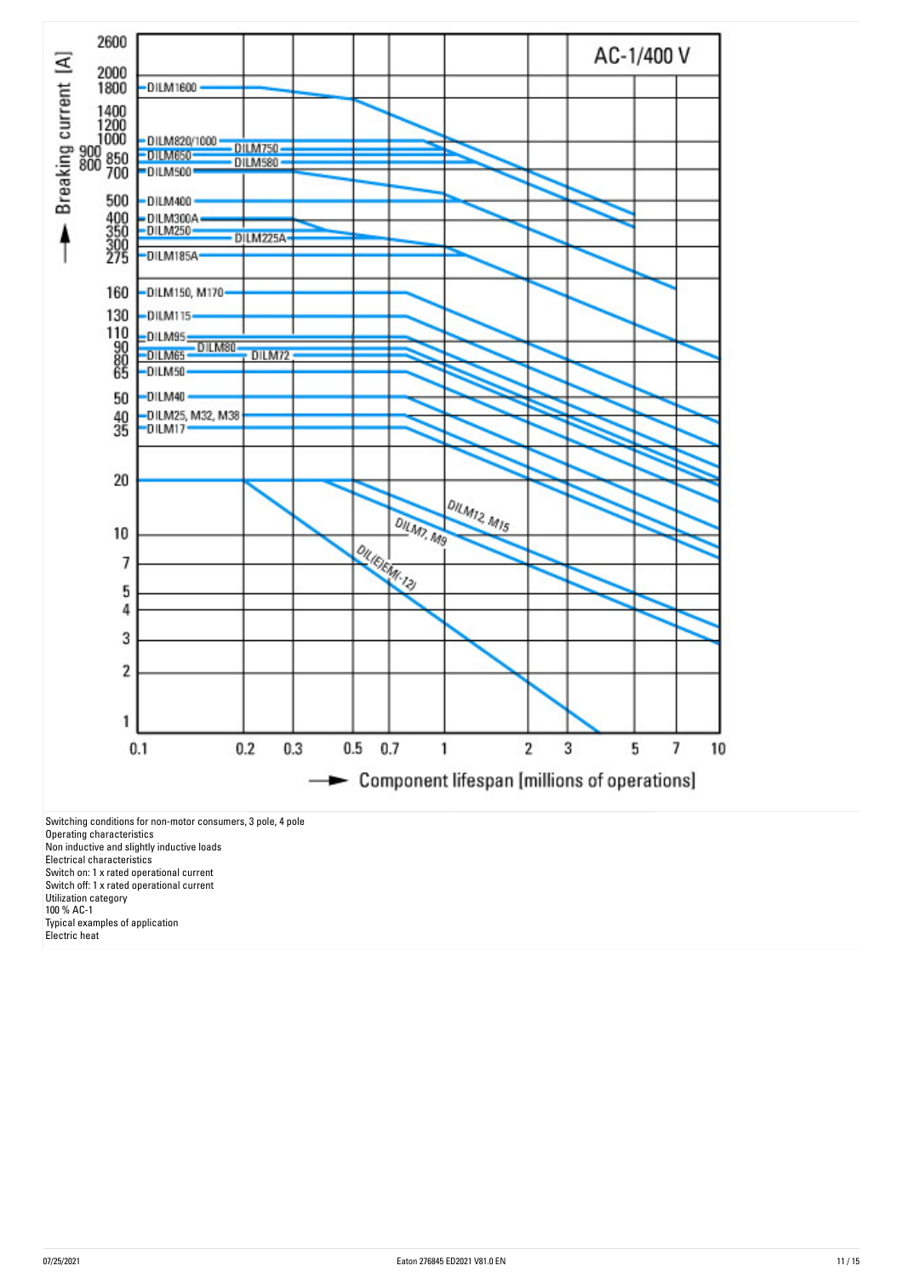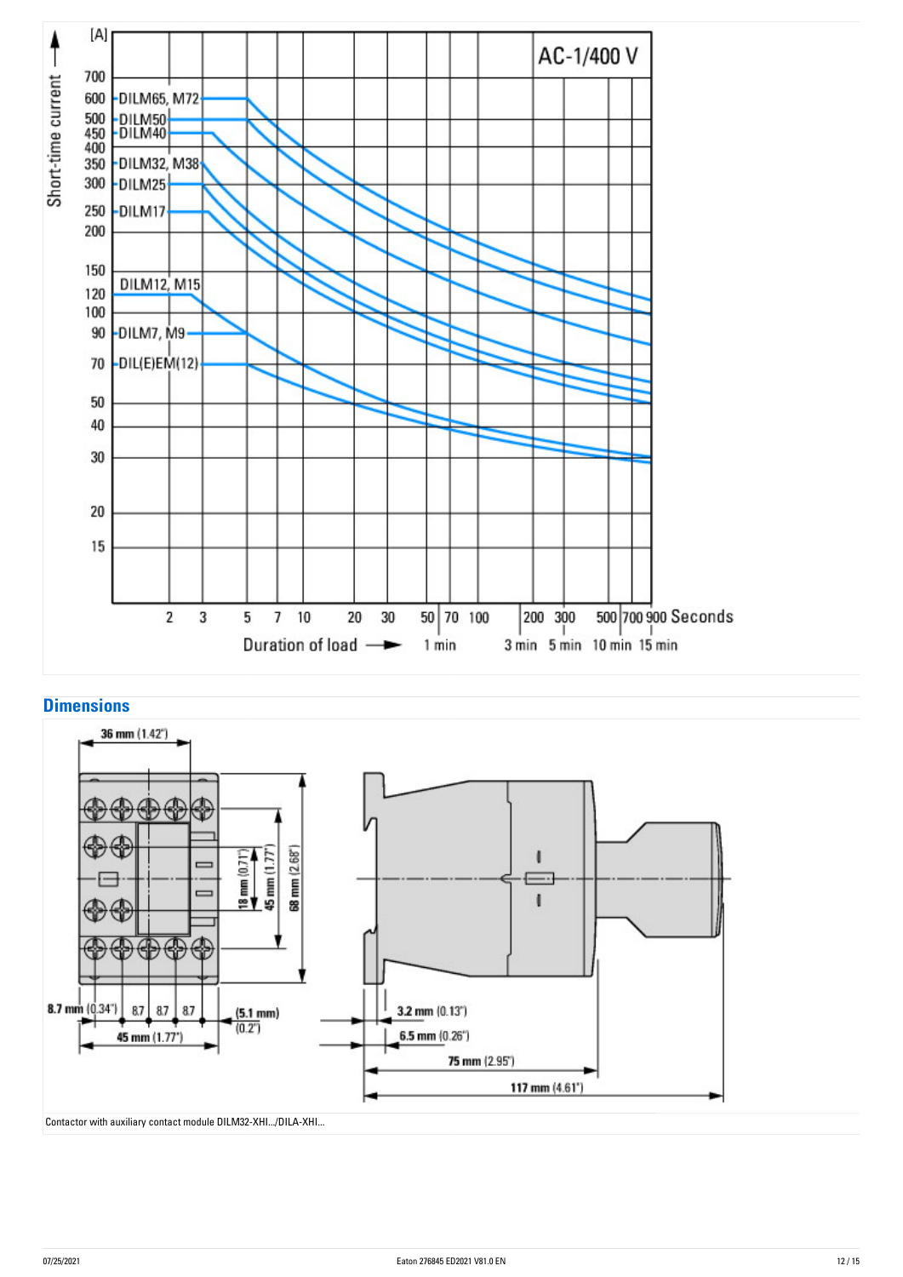



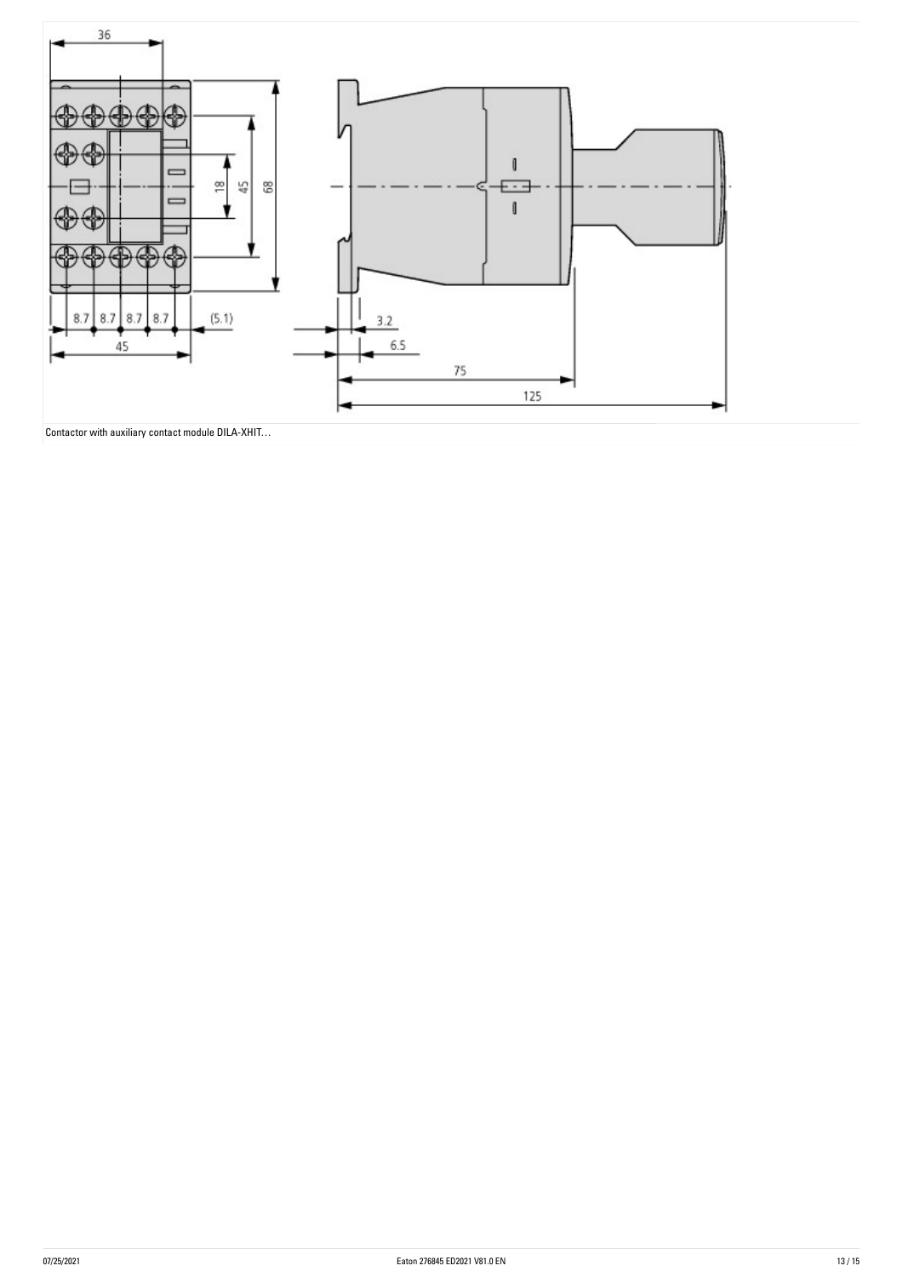

Contactor with auxiliary contact module DILA-XHIT…